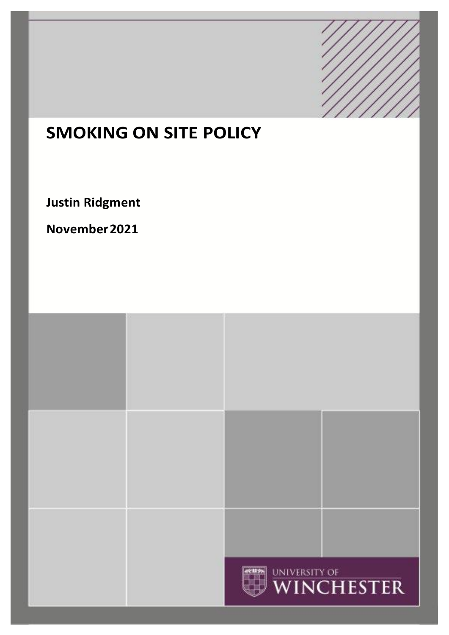

# **SMOKING ON SITE POLICY**

**Justin Ridgment** 

**November2021**

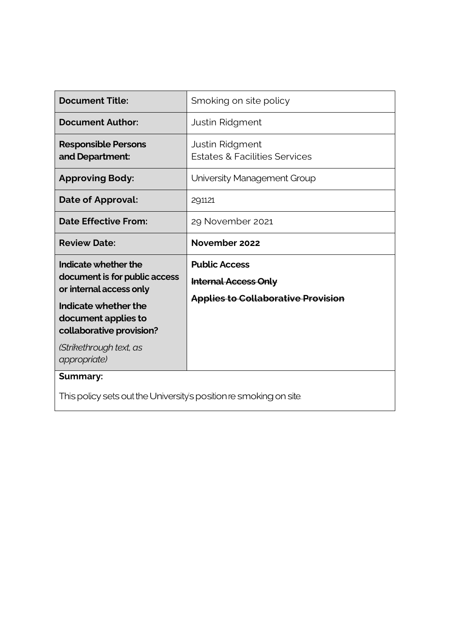| <b>Document Title:</b>                                                           | Smoking on site policy                                      |
|----------------------------------------------------------------------------------|-------------------------------------------------------------|
| <b>Document Author:</b>                                                          | <b>Justin Ridgment</b>                                      |
| <b>Responsible Persons</b><br>and Department:                                    | Justin Ridgment<br><b>Estates &amp; Facilities Services</b> |
| <b>Approving Body:</b>                                                           | University Management Group                                 |
| Date of Approval:                                                                | 29.11.21                                                    |
| <b>Date Effective From:</b>                                                      | 29 November 2021                                            |
| <b>Review Date:</b>                                                              | November 2022                                               |
| Indicate whether the<br>document is for public access<br>or internal access only | <b>Public Access</b>                                        |
|                                                                                  | <b>Internal Access Only</b>                                 |
| Indicate whether the                                                             | <b>Applies to Collaborative Provision</b>                   |
|                                                                                  |                                                             |
| document applies to                                                              |                                                             |
| collaborative provision?<br>(Strikethrough text, as<br>appropriate)              |                                                             |
| <b>Summary:</b>                                                                  |                                                             |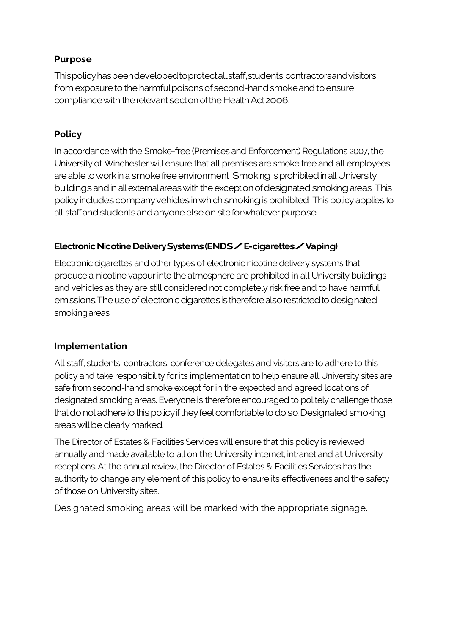## **Purpose**

Thispolicyhasbeendevelopedtoprotectallstaff,students,contractorsandvisitors from exposure to the harmful poisons of second-hand smoke and to ensure compliance with the relevant section of the Health Act 2006.

# **Policy**

In accordance with the Smoke-free (Premises and Enforcement) Regulations 2007, the University of Winchester will ensure that all premises are smoke free and all employees are able to work in a smoke free environment. Smoking is prohibited in all University buildings and in all external areas with the exception of designated smoking areas. This policyincludescompanyvehiclesinwhichsmokingisprohibited. Thispolicyappliesto all staff and students and anyone else on site for whatever purpose.

# Electronic Nicotine Delivery Systems (ENDS **/ E-cigarettes / Vaping)**

Electronic cigarettes and other types of electronic nicotine delivery systems that produce a nicotine vapour into the atmosphere are prohibited in all University buildings and vehicles as they are still considered not completely risk free and to have harmful emissions. The use of electronic cigarettes is therefore also restricted to designated smokingareas

# **Implementation**

All staff, students, contractors, conference delegates and visitors are to adhere to this policy and take responsibility for its implementation to help ensure all University sites are safe from second-hand smoke except for in the expected and agreed locations of designated smoking areas. Everyone is therefore encouraged to politely challenge those that do not adhere to this policy if they feel comfortable to do so. Designated smoking areas will be clearly marked.

The Director of Estates & Facilities Services will ensure that this policy is reviewed annually and made available to all on the University internet, intranet and at University receptions. At the annual review, the Director of Estates & Facilities Services has the authority to change any element of this policy to ensure its effectiveness and the safety of those on University sites.

Designated smoking areas will be marked with the appropriate signage.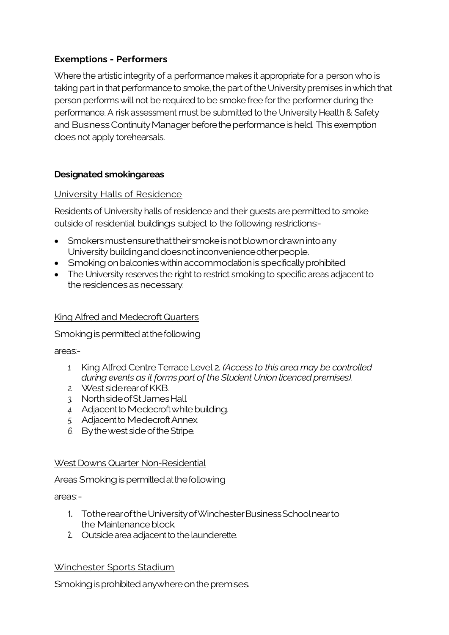## **Exemptions - Performers**

Where the artistic integrity of a performance makes it appropriate for a person who is taking part in that performance to smoke, the part of the University premises in which that person performs will not be required to be smoke free for the performer during the performance. A risk assessment must be submitted to the University Health & Safety and Business Continuity Manager before the performance is held. This exemption does not apply torehearsals.

## **Designated smokingareas**

#### University Halls of Residence

Residents of University halls of residence and their guests are permitted to smoke outside of residential buildings subject to the following restrictions:-

- Smokers must ensure that their smoke is not blown or drawn into any University building and does not inconvenience other people.
- Smoking on balconies within accommodation is specifically prohibited.
- The University reserves the right to restrict smoking to specific areas adjacent to the residences as necessary.

#### King Alfred and Medecroft Quarters

Smoking is permitted at the following

areas:-

- *1.* King Alfred Centre Terrace Level 2*. (Access to this area may be controlled during events as it forms part of the Student Union licenced premises).*
- *2.* West siderearofKKB.
- *3.* NorthsideofStJamesHall
- 4. Adjacent to Medecroft white building.
- 5. Adjacent to Medecroft Annex.
- *6.* Bythewest sideoftheStripe.

#### West Downs Quarter Non-Residential

Areas Smoking is permitted at the following

areas: -

- 1. TotherearoftheUniversityofWinchesterBusinessSchoolnearto the Maintenance block.
- 2. Outside area adjacent to the launderette.

## Winchester Sports Stadium

Smoking is prohibited anywhere on the premises.